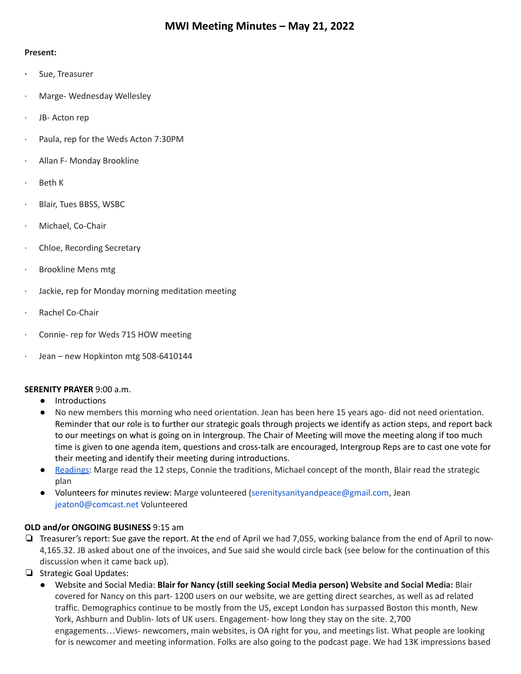#### **Present:**

- **·** Sue, Treasurer
- · Marge- Wednesday Wellesley
- JB- Acton rep
- Paula, rep for the Weds Acton 7:30PM
- Allan F- Monday Brookline
- · Beth K
- Blair, Tues BBSS, WSBC
- · Michael, Co-Chair
- Chloe, Recording Secretary
- Brookline Mens mtg
- · Jackie, rep for Monday morning meditation meeting
- Rachel Co-Chair
- Connie- rep for Weds 715 HOW meeting
- · Jean new Hopkinton mtg 508-6410144

# **SERENITY PRAYER** 9:00 a.m.

- Introductions
- No new members this morning who need orientation. Jean has been here 15 years ago- did not need orientation. Reminder that our role is to further our strategic goals through projects we identify as action steps, and report back to our meetings on what is going on in Intergroup. The Chair of Meeting will move the meeting along if too much time is given to one agenda item, questions and cross-talk are encouraged, Intergroup Reps are to cast one vote for their meeting and identify their meeting during introductions.
- [Readings:](https://docs.google.com/document/d/1Vu9sEZz3L5NAvcMkdUn7OfGyORMM0UH8rN7POBMe8uQ/edit?usp=sharing) Marge read the 12 steps, Connie the traditions, Michael concept of the month, Blair read the strategic plan
- Volunteers for minutes review: Marge volunteered (serenitysanityandpeace@gmail.com, Jean jeaton0@comcast.net Volunteered

# **OLD and/or ONGOING BUSINESS** 9:15 am

- ❏ Treasurer's report: Sue gave the report. At the end of April we had 7,055, working balance from the end of April to now-4,165.32. JB asked about one of the invoices, and Sue said she would circle back (see below for the continuation of this discussion when it came back up).
- ❏ Strategic Goal Updates:
	- Website and Social Media: **Blair for Nancy (still seeking Social Media person) Website and Social Media:** Blair covered for Nancy on this part- 1200 users on our website, we are getting direct searches, as well as ad related traffic. Demographics continue to be mostly from the US, except London has surpassed Boston this month, New York, Ashburn and Dublin- lots of UK users. Engagement- how long they stay on the site. 2,700 engagements…Views- newcomers, main websites, is OA right for you, and meetings list. What people are looking for is newcomer and meeting information. Folks are also going to the podcast page. We had 13K impressions based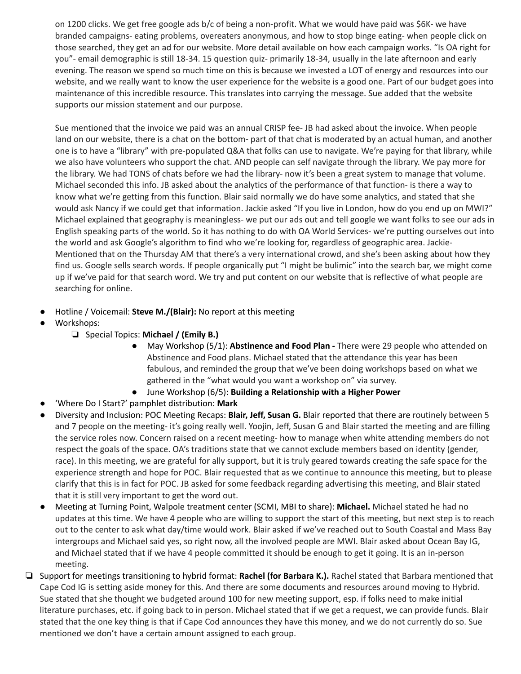on 1200 clicks. We get free google ads b/c of being a non-profit. What we would have paid was \$6K- we have branded campaigns- eating problems, overeaters anonymous, and how to stop binge eating- when people click on those searched, they get an ad for our website. More detail available on how each campaign works. "Is OA right for you"- email demographic is still 18-34. 15 question quiz- primarily 18-34, usually in the late afternoon and early evening. The reason we spend so much time on this is because we invested a LOT of energy and resources into our website, and we really want to know the user experience for the website is a good one. Part of our budget goes into maintenance of this incredible resource. This translates into carrying the message. Sue added that the website supports our mission statement and our purpose.

Sue mentioned that the invoice we paid was an annual CRISP fee- JB had asked about the invoice. When people land on our website, there is a chat on the bottom- part of that chat is moderated by an actual human, and another one is to have a "library" with pre-populated Q&A that folks can use to navigate. We're paying for that library, while we also have volunteers who support the chat. AND people can self navigate through the library. We pay more for the library. We had TONS of chats before we had the library- now it's been a great system to manage that volume. Michael seconded this info. JB asked about the analytics of the performance of that function- is there a way to know what we're getting from this function. Blair said normally we do have some analytics, and stated that she would ask Nancy if we could get that information. Jackie asked "If you live in London, how do you end up on MWI?" Michael explained that geography is meaningless- we put our ads out and tell google we want folks to see our ads in English speaking parts of the world. So it has nothing to do with OA World Services- we're putting ourselves out into the world and ask Google's algorithm to find who we're looking for, regardless of geographic area. Jackie-Mentioned that on the Thursday AM that there's a very international crowd, and she's been asking about how they find us. Google sells search words. If people organically put "I might be bulimic" into the search bar, we might come up if we've paid for that search word. We try and put content on our website that is reflective of what people are searching for online.

- Hotline / Voicemail: **Steve M./(Blair):** No report at this meeting
- Workshops:
	- ❏ Special Topics: **Michael / (Emily B.)**
		- May Workshop (5/1): **Abstinence and Food Plan -** There were 29 people who attended on Abstinence and Food plans. Michael stated that the attendance this year has been fabulous, and reminded the group that we've been doing workshops based on what we gathered in the "what would you want a workshop on" via survey.
		- June Workshop (6/5): **Building a Relationship with a Higher Power**
- 'Where Do I Start?' pamphlet distribution: **Mark**
- Diversity and Inclusion: POC Meeting Recaps: **Blair, Jeff, Susan G.** Blair reported that there are routinely between 5 and 7 people on the meeting- it's going really well. Yoojin, Jeff, Susan G and Blair started the meeting and are filling the service roles now. Concern raised on a recent meeting- how to manage when white attending members do not respect the goals of the space. OA's traditions state that we cannot exclude members based on identity (gender, race). In this meeting, we are grateful for ally support, but it is truly geared towards creating the safe space for the experience strength and hope for POC. Blair requested that as we continue to announce this meeting, but to please clarify that this is in fact for POC. JB asked for some feedback regarding advertising this meeting, and Blair stated that it is still very important to get the word out.
- Meeting at Turning Point, Walpole treatment center (SCMI, MBI to share): **Michael.** Michael stated he had no updates at this time. We have 4 people who are willing to support the start of this meeting, but next step is to reach out to the center to ask what day/time would work. Blair asked if we've reached out to South Coastal and Mass Bay intergroups and Michael said yes, so right now, all the involved people are MWI. Blair asked about Ocean Bay IG, and Michael stated that if we have 4 people committed it should be enough to get it going. It is an in-person meeting.
- ❏ Support for meetings transitioning to hybrid format: **Rachel (for Barbara K.).** Rachel stated that Barbara mentioned that Cape Cod IG is setting aside money for this. And there are some documents and resources around moving to Hybrid. Sue stated that she thought we budgeted around 100 for new meeting support, esp. if folks need to make initial literature purchases, etc. if going back to in person. Michael stated that if we get a request, we can provide funds. Blair stated that the one key thing is that if Cape Cod announces they have this money, and we do not currently do so. Sue mentioned we don't have a certain amount assigned to each group.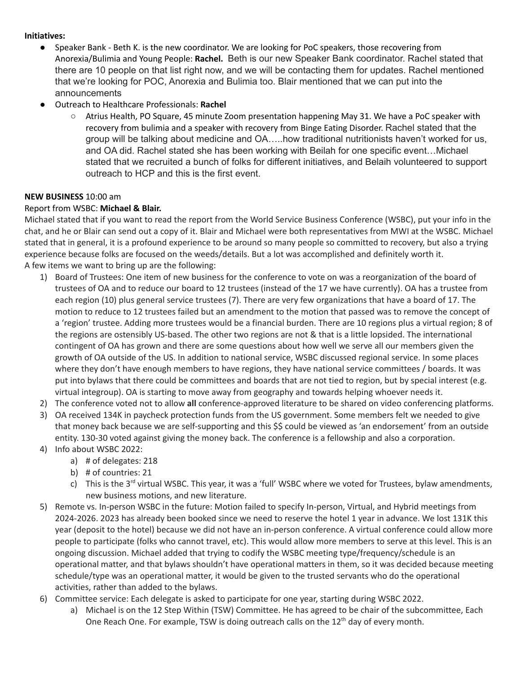#### **Initiatives:**

- **●** Speaker Bank Beth K. is the new coordinator. We are looking for PoC speakers, those recovering from Anorexia/Bulimia and Young People: **Rachel.** Beth is our new Speaker Bank coordinator. Rachel stated that there are 10 people on that list right now, and we will be contacting them for updates. Rachel mentioned that we're looking for POC, Anorexia and Bulimia too. Blair mentioned that we can put into the announcements
- Outreach to Healthcare Professionals: **Rachel**
	- Atrius Health, PO Square, 45 minute Zoom presentation happening May 31. We have a PoC speaker with recovery from bulimia and a speaker with recovery from Binge Eating Disorder. Rachel stated that the group will be talking about medicine and OA…..how traditional nutritionists haven't worked for us, and OA did. Rachel stated she has been working with Beilah for one specific event…Michael stated that we recruited a bunch of folks for different initiatives, and Belaih volunteered to support outreach to HCP and this is the first event.

#### **NEW BUSINESS** 10:00 am

# Report from WSBC: **Michael & Blair.**

Michael stated that if you want to read the report from the World Service Business Conference (WSBC), put your info in the chat, and he or Blair can send out a copy of it. Blair and Michael were both representatives from MWI at the WSBC. Michael stated that in general, it is a profound experience to be around so many people so committed to recovery, but also a trying experience because folks are focused on the weeds/details. But a lot was accomplished and definitely worth it. A few items we want to bring up are the following:

- 1) Board of Trustees: One item of new business for the conference to vote on was a reorganization of the board of trustees of OA and to reduce our board to 12 trustees (instead of the 17 we have currently). OA has a trustee from each region (10) plus general service trustees (7). There are very few organizations that have a board of 17. The motion to reduce to 12 trustees failed but an amendment to the motion that passed was to remove the concept of a 'region' trustee. Adding more trustees would be a financial burden. There are 10 regions plus a virtual region; 8 of the regions are ostensibly US-based. The other two regions are not & that is a little lopsided. The international contingent of OA has grown and there are some questions about how well we serve all our members given the growth of OA outside of the US. In addition to national service, WSBC discussed regional service. In some places where they don't have enough members to have regions, they have national service committees / boards. It was put into bylaws that there could be committees and boards that are not tied to region, but by special interest (e.g. virtual integroup). OA is starting to move away from geography and towards helping whoever needs it.
- 2) The conference voted not to allow **all** conference-approved literature to be shared on video conferencing platforms.
- 3) OA received 134K in paycheck protection funds from the US government. Some members felt we needed to give that money back because we are self-supporting and this \$\$ could be viewed as 'an endorsement' from an outside entity. 130-30 voted against giving the money back. The conference is a fellowship and also a corporation.
- 4) Info about WSBC 2022:
	- a) # of delegates: 218
	- b) # of countries: 21
	- c) This is the 3<sup>rd</sup> virtual WSBC. This year, it was a 'full' WSBC where we voted for Trustees, bylaw amendments, new business motions, and new literature.
- 5) Remote vs. In-person WSBC in the future: Motion failed to specify In-person, Virtual, and Hybrid meetings from 2024-2026. 2023 has already been booked since we need to reserve the hotel 1 year in advance. We lost 131K this year (deposit to the hotel) because we did not have an in-person conference. A virtual conference could allow more people to participate (folks who cannot travel, etc). This would allow more members to serve at this level. This is an ongoing discussion. Michael added that trying to codify the WSBC meeting type/frequency/schedule is an operational matter, and that bylaws shouldn't have operational matters in them, so it was decided because meeting schedule/type was an operational matter, it would be given to the trusted servants who do the operational activities, rather than added to the bylaws.
- 6) Committee service: Each delegate is asked to participate for one year, starting during WSBC 2022.
	- a) Michael is on the 12 Step Within (TSW) Committee. He has agreed to be chair of the subcommittee, Each One Reach One. For example, TSW is doing outreach calls on the 12<sup>th</sup> day of every month.